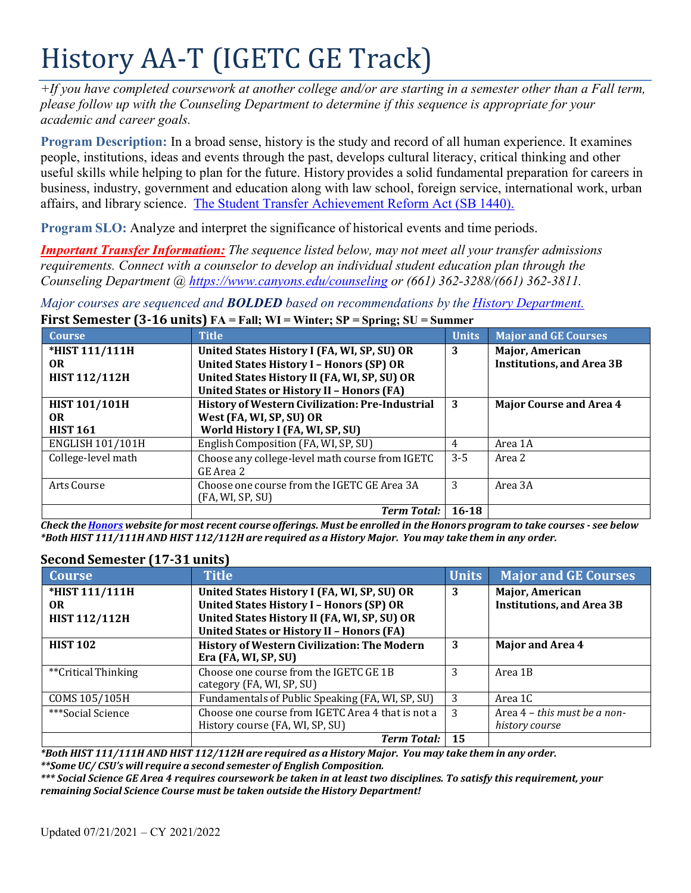# History AA-T (IGETC GE Track)

*+If you have completed coursework at another college and/or are starting in a semester other than a Fall term, please follow up with the Counseling Department to determine if this sequence is appropriate for your academic and career goals.*

**Program Description:** In a broad sense, history is the study and record of all human experience. It examines people, institutions, ideas and events through the past, develops cultural literacy, critical thinking and other useful skills while helping to plan for the future. History provides a solid fundamental preparation for careers in business, industry, government and education along with law school, foreign service, international work, urban affairs, and library science. The Student Transfer Achievement Reform Act (SB 1440).

**Program SLO:** Analyze and interpret the significance of historical events and time periods.

*Important Transfer Information: The sequence listed below, may not meet all your transfer admissions requirements. Connect with a counselor to develop an individual student education plan through the Counseling Department @ <https://www.canyons.edu/counseling> or (661) 362-3288/(661) 362-3811.*

*Major courses are sequenced and BOLDED based on recommendations by the History Department.* **First Semester (3-16 units) FA = Fall; WI = Winter; SP = Spring; SU = Summer**

| <b>Course</b>        | <b>Title</b>                                     | <b>Units</b> | <b>Major and GE Courses</b>      |
|----------------------|--------------------------------------------------|--------------|----------------------------------|
| *HIST 111/111H       | United States History I (FA, WI, SP, SU) OR      | 3            | <b>Major, American</b>           |
| OR.                  | <b>United States History I - Honors (SP) OR</b>  |              | <b>Institutions, and Area 3B</b> |
| <b>HIST 112/112H</b> | United States History II (FA, WI, SP, SU) OR     |              |                                  |
|                      | <b>United States or History II - Honors (FA)</b> |              |                                  |
| <b>HIST 101/101H</b> | History of Western Civilization: Pre-Industrial  | 3            | <b>Major Course and Area 4</b>   |
| OR.                  | West (FA, WI, SP, SU) OR                         |              |                                  |
| <b>HIST 161</b>      | World History I (FA, WI, SP, SU)                 |              |                                  |
| ENGLISH 101/101H     | English Composition (FA, WI, SP, SU)             | 4            | Area 1A                          |
| College-level math   | Choose any college-level math course from IGETC  | $3 - 5$      | Area 2                           |
|                      | GE Area 2                                        |              |                                  |
| Arts Course          | Choose one course from the IGETC GE Area 3A      | 3            | Area 3A                          |
|                      | (FA, WI, SP, SU)                                 |              |                                  |
|                      | <b>Term Total:</b>                               | $16 - 18$    |                                  |

Check the Honors website for most recent course offerings. Must be enrolled in the Honors program to take courses - see below \*Both HIST 111/111H AND HIST 112/112H are required as a History Major. You may take them in any order.

### **Second Semester (17-31 units)**

| <b>Course</b>        | <b>Title</b>                                       | Units | <b>Major and GE Courses</b>      |
|----------------------|----------------------------------------------------|-------|----------------------------------|
| *HIST 111/111H       | United States History I (FA, WI, SP, SU) OR        | 3     | Major, American                  |
| <b>OR</b>            | <b>United States History I - Honors (SP) OR</b>    |       | <b>Institutions, and Area 3B</b> |
| <b>HIST 112/112H</b> | United States History II (FA, WI, SP, SU) OR       |       |                                  |
|                      | <b>United States or History II - Honors (FA)</b>   |       |                                  |
| <b>HIST 102</b>      | <b>History of Western Civilization: The Modern</b> | 3     | Major and Area 4                 |
|                      | Era (FA, WI, SP, SU)                               |       |                                  |
| **Critical Thinking  | Choose one course from the IGETC GE 1B             | 3     | Area 1B                          |
|                      | category (FA, WI, SP, SU)                          |       |                                  |
| COMS 105/105H        | Fundamentals of Public Speaking (FA, WI, SP, SU)   | -3    | Area 1C                          |
| ***Social Science    | Choose one course from IGETC Area 4 that is not a  | 3     | Area 4 - this must be a non-     |
|                      | History course (FA, WI, SP, SU)                    |       | history course                   |
|                      | <b>Term Total:</b>                                 | 15    |                                  |

\*Both HIST 111/111H AND HIST 112/112H are required as a History Major. You may take them in any order. *\*\*SomeUC/ CSU's will require a second semester of English Composition.*

*\*\*\* Social Science GE Area 4 requires coursework be taken in at least two disciplines. To satisfy this requirement, your remaining Social Science Course must be taken outside the History Department!*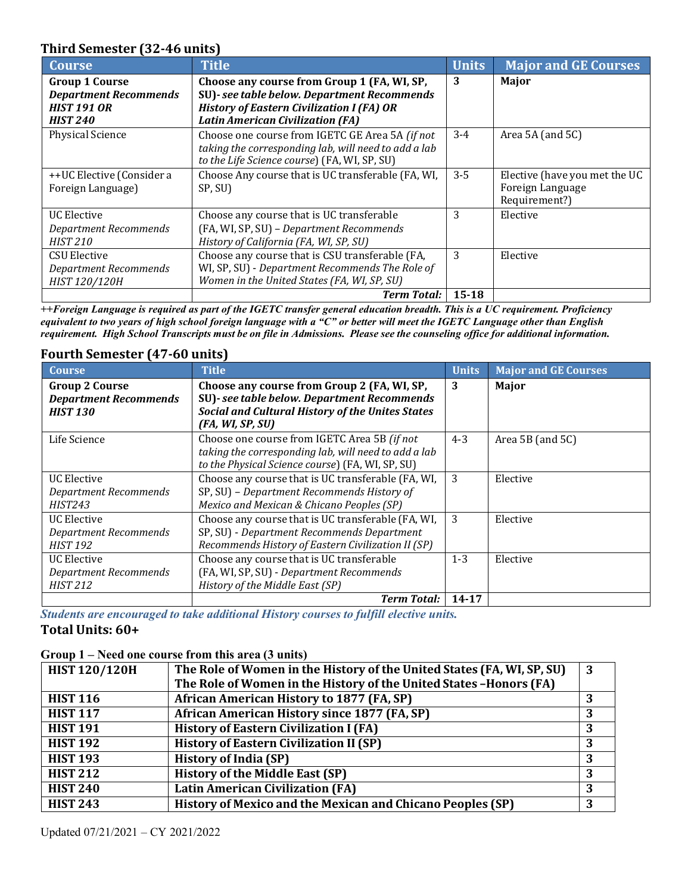## **Third Semester (32-46 units)**

| <b>Course</b>                | <b>Title</b>                                         | <b>Units</b> | <b>Major and GE Courses</b>   |
|------------------------------|------------------------------------------------------|--------------|-------------------------------|
| <b>Group 1 Course</b>        | Choose any course from Group 1 (FA, WI, SP,          | 3            | Major                         |
| <b>Department Recommends</b> | SU)- see table below. Department Recommends          |              |                               |
| <b>HIST 191 OR</b>           | <b>History of Eastern Civilization I (FA) OR</b>     |              |                               |
| <b>HIST 240</b>              | <b>Latin American Civilization (FA)</b>              |              |                               |
| <b>Physical Science</b>      | Choose one course from IGETC GE Area 5A (if not      | $3-4$        | Area 5A (and 5C)              |
|                              | taking the corresponding lab, will need to add a lab |              |                               |
|                              | to the Life Science course) (FA, WI, SP, SU)         |              |                               |
| ++UC Elective (Consider a    | Choose Any course that is UC transferable (FA, WI,   | $3 - 5$      | Elective (have you met the UC |
| Foreign Language)            | SP, SU)                                              |              | Foreign Language              |
|                              |                                                      |              | Requirement?)                 |
| <b>UC</b> Elective           | Choose any course that is UC transferable            | 3            | Elective                      |
| <b>Department Recommends</b> | (FA, WI, SP, SU) - Department Recommends             |              |                               |
| <b>HIST 210</b>              | History of California (FA, WI, SP, SU)               |              |                               |
| <b>CSU Elective</b>          | Choose any course that is CSU transferable (FA,      | 3            | Elective                      |
| <b>Department Recommends</b> | WI, SP, SU) - Department Recommends The Role of      |              |                               |
| HIST 120/120H                | Women in the United States (FA, WI, SP, SU)          |              |                               |
|                              | <b>Term Total:</b>                                   | $15 - 18$    |                               |

*++Foreign Language is required as part of the IGETC transfer general education breadth. This is a UC requirement. Proficiency equivalent to two years of high school foreign language with a "C" or better will meet the IGETC Language other than English* requirement. High School Transcripts must be on file in Admissions. Please see the counseling office for additional information.

### **Fourth Semester (47-60 units)**

| <b>Course</b>                                                            | <b>Title</b>                                                                                                                                                              | <b>Units</b> | <b>Major and GE Courses</b> |
|--------------------------------------------------------------------------|---------------------------------------------------------------------------------------------------------------------------------------------------------------------------|--------------|-----------------------------|
| <b>Group 2 Course</b><br><b>Department Recommends</b><br><b>HIST 130</b> | Choose any course from Group 2 (FA, WI, SP,<br>SU)- see table below. Department Recommends<br><b>Social and Cultural History of the Unites States</b><br>(FA, WI, SP, SU) | 3            | Major                       |
| Life Science                                                             | Choose one course from IGETC Area 5B (if not<br>taking the corresponding lab, will need to add a lab<br>to the Physical Science course) (FA, WI, SP, SU)                  | $4 - 3$      | Area 5B (and 5C)            |
| <b>UC</b> Elective<br><b>Department Recommends</b><br><b>HIST243</b>     | Choose any course that is UC transferable (FA, WI,<br>SP, SU) - Department Recommends History of<br>Mexico and Mexican & Chicano Peoples (SP)                             | 3            | Elective                    |
| <b>UC</b> Elective<br><b>Department Recommends</b><br><b>HIST 192</b>    | Choose any course that is UC transferable (FA, WI,<br>SP, SU) - Department Recommends Department<br>Recommends History of Eastern Civilization II (SP)                    | 3            | Elective                    |
| <b>UC Elective</b><br><b>Department Recommends</b><br><b>HIST 212</b>    | Choose any course that is UC transferable<br>(FA, WI, SP, SU) - Department Recommends<br>History of the Middle East (SP)                                                  | $1 - 3$      | Elective                    |
|                                                                          | <b>Term Total:</b>                                                                                                                                                        | $14 - 17$    |                             |

*Students are encouraged to take additional History courses to fulfill elective units.*

### **Total Units: 60+**

#### **Group 1 – Need one course from this area (3 units)**

| <b>HIST 120/120H</b> | The Role of Women in the History of the United States (FA, WI, SP, SU)<br>The Role of Women in the History of the United States -Honors (FA) | $\mathbf{3}$ |
|----------------------|----------------------------------------------------------------------------------------------------------------------------------------------|--------------|
| <b>HIST 116</b>      | African American History to 1877 (FA, SP)                                                                                                    |              |
| <b>HIST 117</b>      | African American History since 1877 (FA, SP)                                                                                                 |              |
| <b>HIST 191</b>      | <b>History of Eastern Civilization I (FA)</b>                                                                                                |              |
| <b>HIST 192</b>      | <b>History of Eastern Civilization II (SP)</b>                                                                                               | 3            |
| <b>HIST 193</b>      | <b>History of India (SP)</b>                                                                                                                 | 3            |
| <b>HIST 212</b>      | <b>History of the Middle East (SP)</b>                                                                                                       | 3            |
| <b>HIST 240</b>      | <b>Latin American Civilization (FA)</b>                                                                                                      | 3            |
| <b>HIST 243</b>      | History of Mexico and the Mexican and Chicano Peoples (SP)                                                                                   | 3            |